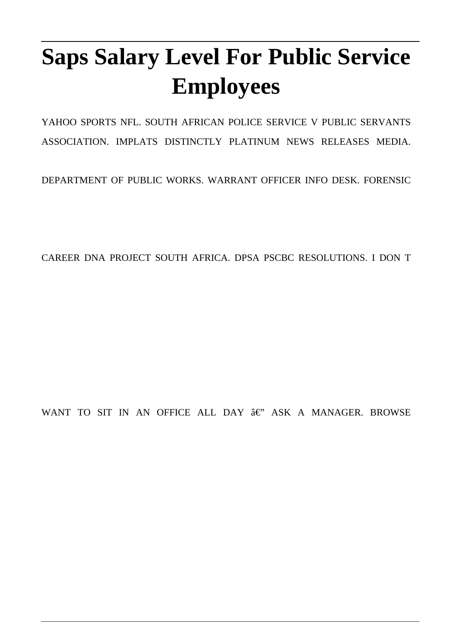# **Saps Salary Level For Public Service Employees**

YAHOO SPORTS NFL. SOUTH AFRICAN POLICE SERVICE V PUBLIC SERVANTS ASSOCIATION. IMPLATS DISTINCTLY PLATINUM NEWS RELEASES MEDIA.

DEPARTMENT OF PUBLIC WORKS. WARRANT OFFICER INFO DESK. FORENSIC

CAREER DNA PROJECT SOUTH AFRICA. DPSA PSCBC RESOLUTIONS. I DON T

WANT TO SIT IN AN OFFICE ALL DAY  $â$  $e$ " ASK A MANAGER. BROWSE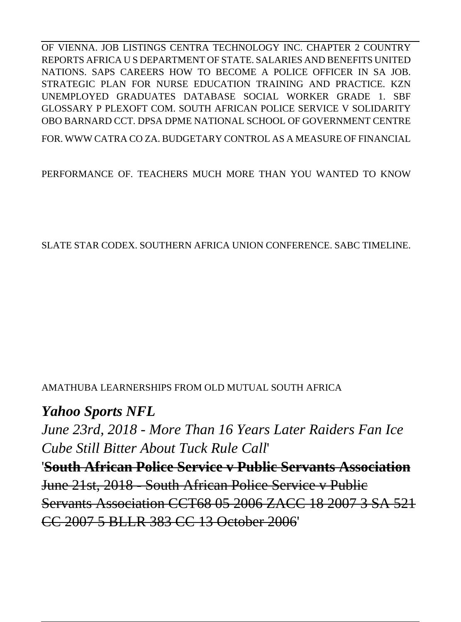OF VIENNA. JOB LISTINGS CENTRA TECHNOLOGY INC. CHAPTER 2 COUNTRY REPORTS AFRICA U S DEPARTMENT OF STATE. SALARIES AND BENEFITS UNITED NATIONS. SAPS CAREERS HOW TO BECOME A POLICE OFFICER IN SA JOB. STRATEGIC PLAN FOR NURSE EDUCATION TRAINING AND PRACTICE. KZN UNEMPLOYED GRADUATES DATABASE SOCIAL WORKER GRADE 1. SBF GLOSSARY P PLEXOFT COM. SOUTH AFRICAN POLICE SERVICE V SOLIDARITY OBO BARNARD CCT. DPSA DPME NATIONAL SCHOOL OF GOVERNMENT CENTRE

FOR. WWW CATRA CO ZA. BUDGETARY CONTROL AS A MEASURE OF FINANCIAL

PERFORMANCE OF. TEACHERS MUCH MORE THAN YOU WANTED TO KNOW

SLATE STAR CODEX. SOUTHERN AFRICA UNION CONFERENCE. SABC TIMELINE.

#### AMATHUBA LEARNERSHIPS FROM OLD MUTUAL SOUTH AFRICA

#### *Yahoo Sports NFL*

*June 23rd, 2018 - More Than 16 Years Later Raiders Fan Ice Cube Still Bitter About Tuck Rule Call*'

'**South African Police Service v Public Servants Association** June 21st, 2018 - South African Police Service v Public Servants Association CCT68 05 2006 ZACC 18 2007 3 SA 521 CC 2007 5 BLLR 383 CC 13 October 2006'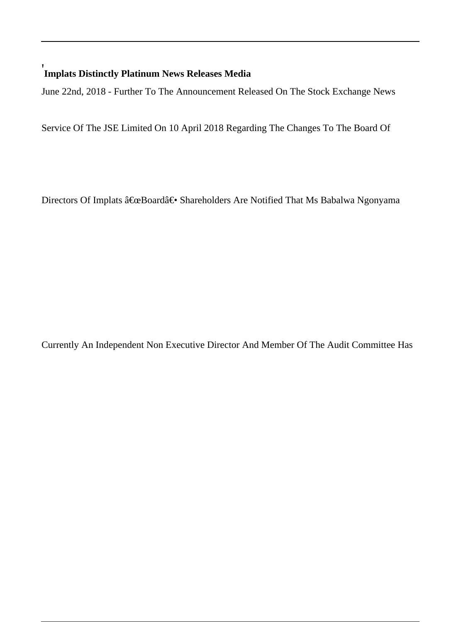#### ' **Implats Distinctly Platinum News Releases Media**

June 22nd, 2018 - Further To The Announcement Released On The Stock Exchange News

Service Of The JSE Limited On 10 April 2018 Regarding The Changes To The Board Of

Directors Of Implats "Board― Shareholders Are Notified That Ms Babalwa Ngonyama

Currently An Independent Non Executive Director And Member Of The Audit Committee Has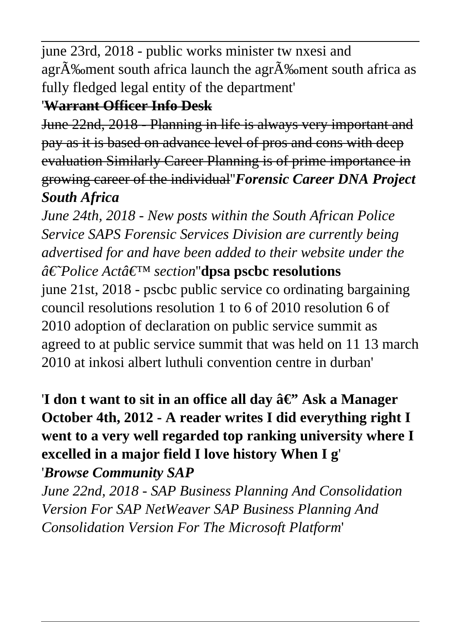june 23rd, 2018 - public works minister tw nxesi and agr $\tilde{A}$ % ment south africa launch the agr $\tilde{A}$ % ment south africa as fully fledged legal entity of the department'

#### '**Warrant Officer Info Desk**

June 22nd, 2018 - Planning in life is always very important and pay as it is based on advance level of pros and cons with deep evaluation Similarly Career Planning is of prime importance in growing career of the individual''*Forensic Career DNA Project South Africa*

*June 24th, 2018 - New posts within the South African Police Service SAPS Forensic Services Division are currently being advertised for and have been added to their website under the*  $\hat{a} \in \hat{P}$ *Police Actâ*€<sup>™</sup> *section*"**dpsa pscbc resolutions** june 21st, 2018 - pscbc public service co ordinating bargaining council resolutions resolution 1 to 6 of 2010 resolution 6 of 2010 adoption of declaration on public service summit as agreed to at public service summit that was held on 11 13 march 2010 at inkosi albert luthuli convention centre in durban'

'I don t want to sit in an office all day  $\hat{a} \in \mathbb{R}^3$  Ask a Manager **October 4th, 2012 - A reader writes I did everything right I went to a very well regarded top ranking university where I excelled in a major field I love history When I g**' '*Browse Community SAP*

*June 22nd, 2018 - SAP Business Planning And Consolidation Version For SAP NetWeaver SAP Business Planning And Consolidation Version For The Microsoft Platform*'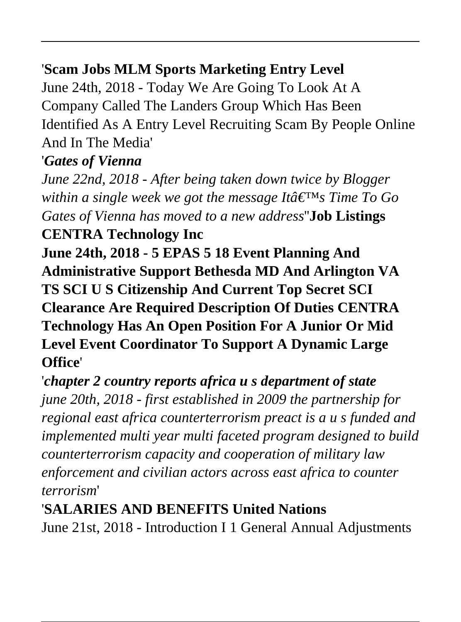# '**Scam Jobs MLM Sports Marketing Entry Level**

June 24th, 2018 - Today We Are Going To Look At A Company Called The Landers Group Which Has Been Identified As A Entry Level Recruiting Scam By People Online And In The Media'

## '*Gates of Vienna*

*June 22nd, 2018 - After being taken down twice by Blogger within a single week we got the message Itâ*  $\epsilon^{\text{TM}}$ *s Time To Go Gates of Vienna has moved to a new address*''**Job Listings**

# **CENTRA Technology Inc**

**June 24th, 2018 - 5 EPAS 5 18 Event Planning And Administrative Support Bethesda MD And Arlington VA TS SCI U S Citizenship And Current Top Secret SCI Clearance Are Required Description Of Duties CENTRA Technology Has An Open Position For A Junior Or Mid Level Event Coordinator To Support A Dynamic Large Office**'

'*chapter 2 country reports africa u s department of state june 20th, 2018 - first established in 2009 the partnership for regional east africa counterterrorism preact is a u s funded and implemented multi year multi faceted program designed to build counterterrorism capacity and cooperation of military law enforcement and civilian actors across east africa to counter terrorism*'

#### '**SALARIES AND BENEFITS United Nations**

June 21st, 2018 - Introduction I 1 General Annual Adjustments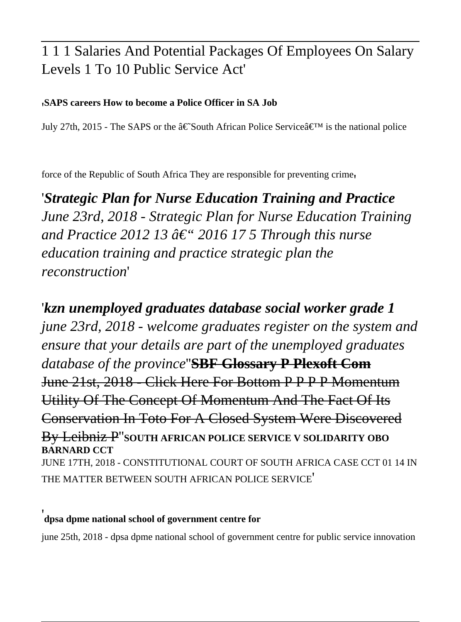#### 1 1 1 Salaries And Potential Packages Of Employees On Salary Levels 1 To 10 Public Service Act'

#### '**SAPS careers How to become a Police Officer in SA Job**

July 27th, 2015 - The SAPS or the  $\hat{\mathbf{a}} \in \text{South African Police}$  Service $\hat{\mathbf{a}} \in \text{N}$  is the national police

force of the Republic of South Africa They are responsible for preventing crime'

'*Strategic Plan for Nurse Education Training and Practice June 23rd, 2018 - Strategic Plan for Nurse Education Training* and Practice 2012 13  $\hat{a} \in \hat{ }$  2016 17 5 Through this nurse *education training and practice strategic plan the reconstruction*'

'*kzn unemployed graduates database social worker grade 1 june 23rd, 2018 - welcome graduates register on the system and ensure that your details are part of the unemployed graduates database of the province*''**SBF Glossary P Plexoft Com** June 21st, 2018 - Click Here For Bottom P P P P Momentum Utility Of The Concept Of Momentum And The Fact Of Its Conservation In Toto For A Closed System Were Discovered By Leibniz P''**SOUTH AFRICAN POLICE SERVICE V SOLIDARITY OBO BARNARD CCT** JUNE 17TH, 2018 - CONSTITUTIONAL COURT OF SOUTH AFRICA CASE CCT 01 14 IN THE MATTER BETWEEN SOUTH AFRICAN POLICE SERVICE'

#### '**dpsa dpme national school of government centre for**

june 25th, 2018 - dpsa dpme national school of government centre for public service innovation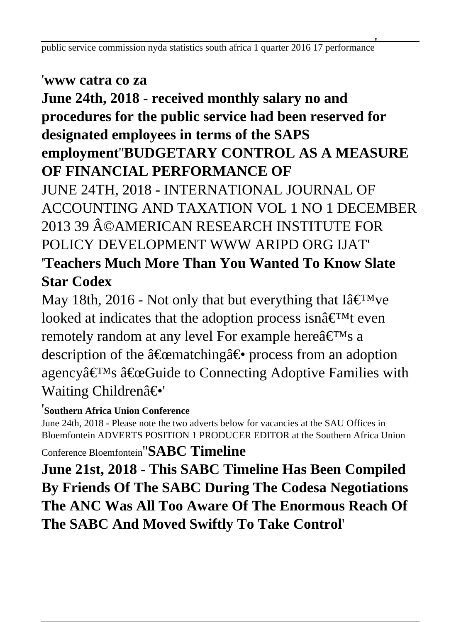#### '**www catra co za**

## **June 24th, 2018 - received monthly salary no and procedures for the public service had been reserved for designated employees in terms of the SAPS employment**''**BUDGETARY CONTROL AS A MEASURE OF FINANCIAL PERFORMANCE OF**

JUNE 24TH, 2018 - INTERNATIONAL JOURNAL OF ACCOUNTING AND TAXATION VOL 1 NO 1 DECEMBER 2013 39 ©AMERICAN RESEARCH INSTITUTE FOR POLICY DEVELOPMENT WWW ARIPD ORG HAT' '**Teachers Much More Than You Wanted To Know Slate Star Codex**

May 18th, 2016 - Not only that but everything that I $\hat{a} \in T^{M}$ ve looked at indicates that the adoption process isn $\hat{a} \in T^M$ t even remotely random at any level For example here $\hat{a} \in T^{M}$ s a description of the "matching― process from an adoption agency $\hat{\mathbf{a}} \in \mathbb{C}^{\mathsf{TM}}$ s  $\hat{\mathbf{a}} \in \mathbb{C}$ Guide to Connecting Adoptive Families with Waiting Children―'

#### '**Southern Africa Union Conference**

June 24th, 2018 - Please note the two adverts below for vacancies at the SAU Offices in Bloemfontein ADVERTS POSITION 1 PRODUCER EDITOR at the Southern Africa Union Conference Bloemfontein''**SABC Timeline**

**June 21st, 2018 - This SABC Timeline Has Been Compiled By Friends Of The SABC During The Codesa Negotiations The ANC Was All Too Aware Of The Enormous Reach Of The SABC And Moved Swiftly To Take Control**'